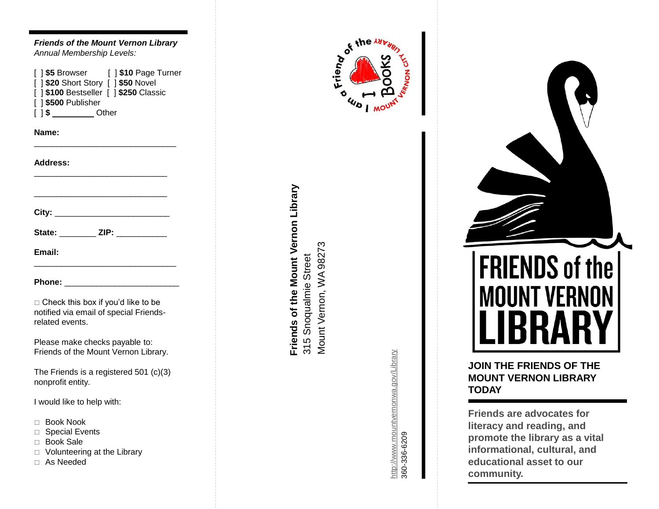| <b>Friends of the Mount Vernon Library</b><br>Annual Membership Levels:                                |
|--------------------------------------------------------------------------------------------------------|
| 1\$500 Publisher<br>ſ<br>] \$ ____________ Other<br>L                                                  |
| Name:                                                                                                  |
| <b>Address:</b>                                                                                        |
|                                                                                                        |
| State: _________ ZIP: ___________                                                                      |
| Email:                                                                                                 |
|                                                                                                        |
| $\Box$ Check this box if you'd like to be<br>notified via email of special Friends-<br>related events. |
| Please make checks payable to:<br>Friends of the Mount Vernon Library.                                 |
| The Friends is a registered $501$ (c)(3)<br>nonprofit entity.                                          |
| I would like to help with:                                                                             |
| <b>Book Nook</b><br>П                                                                                  |

- □ Special Events
- □ Book Sale
- Volunteering at the Library
- As Needed





http://www.mountvernonwa.gov/Library <http://www.mountvernonwa.gov/Library> 360-336-6209

# **FRIENDS of the MOUNT VERNON**

## **JOIN THE FRIENDS OF THE MOUNT VERNON LIBRARY TODAY**

**Friends are advocates for literacy and reading, and promote the library as a vital informational, cultural, and educational asset to our community.**